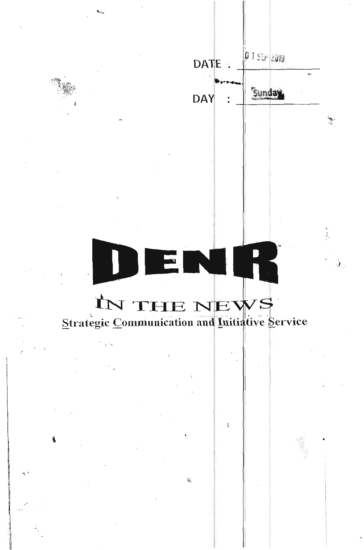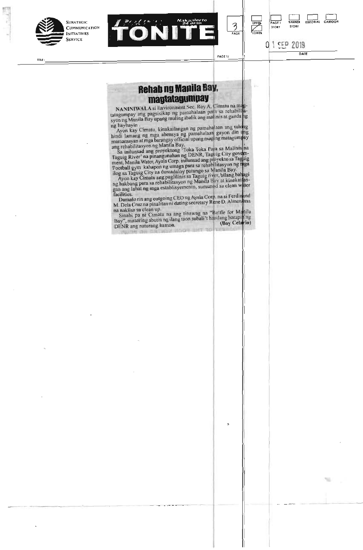

**STRATEGIC COMMUNICATION INITIATIVES** 



0 1 SEP 2019

**STORY STORY** 

GET BANNER EDITORIAL CARTOON **PAGE I BANNER EDITORIAL CARTOON** 

## **Rehab ng Manila Bay,**

**DATE** TRACE I/ **PAGE I/ PAGE I/ PAGE I/** 

**magtatagumpay**<br> **magtatagumpay** ang pagsisikap ng pamahalaan para sa rehabilitasyon ng Manila Bay upang muling ibalik ang malinis at ganda ng **NANINIWALA** si Environment Sec. Roy A. Cimatu na magtagumpay ang pagsisikap ng pamahalaan para sa rehabilitasyon ng Manila Bay upang muling ibalik ang matinis at ganda ng

g baybayin .<br>Ayon kay Cimatu, kinakailangan ng pamahalaan ang tulong indi lamang ng mga ahensya ng pamahalaan gayon din ang mamamayan at mga barangay official upang maging matagum yay

ang rehabilitasyon ng Manila Bay.<br>Sa inilunsad ang proyektong 'Toka Toka Para sa Malinis na aguig River' na pinangunahan ng DENR, Taguig City govern nent, Manila Water, Ayala Corp. inilunsad ang proyekto sa Tagpag Football gym kahapon ng umaga para sa rehabilitasyon ng inga log sa Taguig City na dumadaloy patungo sa Manila Bay.

Ayon kay Cimatu ang pagiilinis sa Taguig rner. bilang batgi ng hakbang para sa rehabilitasyon ng Manila Bay at Kinakam gan ang lahat ng mga establisyemento, sumunod sa cican water

acilities.<br>Dumato rin ang outgoing CEO ng Ayala Corp. na si Ferdinand Dumalo rin ang outgoing CEO ng Ayala Corp, na si Ferdinand<br>M. Dela Cruz na pinalitan ni dating secretary Rene D. Almendras<br>na nakiisa sa clean up.

na nakiisa sa clean up.<br>Sinabi pa ni Cimatu na ang tinawag na "Battle for Manilang Bay", maaaring abutin ng ilang taon subali it hangang harapin ng<br>DENR ang naturang hamon. **(Boy Celario)**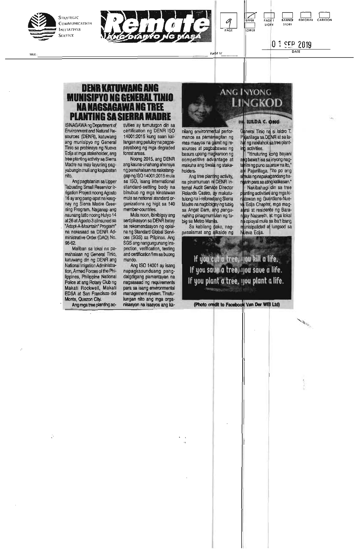

TITLE:



0 1 SEP 2019

#### **DENR KATU WANG ANG MUNISIPYO NC GENERAL TINIO NA NAGSAGAWA NC TREE PLANTING SA SIERRA MADRE**

ISINAGAWA rig Department of Environment and Natural Resources (DENR), katuwang ang munisipyo ng General Tinio sa probinsya ng Nueva Ecija at mga stakeholder, ang tree planting activity sa Sierra Madre na may layuning pagyabungin muli ang kagubatan nito.

Ang pagtatanim sa Upper Tabuating Small Reservior Irrigation Project noong Agosto 16 ay ang pang-apat na kaugnay ng Sierra Madre Greening Program. Naganap ang naunang tatlo noong Hulyo 14 at 26 at Agosto 3 alinsunod sa "Adopt-A-Mountain" Program" na nakasaad sa DENR Administrative Order (DAC)) No. 98-62.

Maliban sa lokal na pamahalaan ng General Tinio, katuwang din ng DENR ang National Irrigation Administration, Armed Forces of the Philippines, Philippine National Police at ang Rotary Club ng Makati Rockwell, Makati EDSA at San Francisco del Monte, Quezon City.

Ang mga tree planting ac-

Ó

tivities ay tumutugon din sa certification ng DENR ISO 14001:2015 kung saan kailangan ang patuloy na pagpapayabong ng mga degraded forest areas.

Noong 2015, ang DENR ang kauna-unahang ahensya ng pamahalaan na nakatanggap ng BO 14001:2015 mula sa ISO, isang international standard-setting body na binubuo ng mga kinatawan mula sa national standard organizations ng higit sa 140 member-countries.

Mula noon, ibinibigay ang sertipikasyon sa DENR batay sa rekomendasyon ng opisina ng Standard Global Services (SGS) sa Pilipinas. Ang SGS ang nangungunang inspection, verification, testing and certification firm sa buong mundo.

Ang ISO 14001 ay isang napagkasunduang pangdaigdigang pamantayan na nagsasaad ng requirements para sa isang environmental management system. Tinutulungan nito ang mga organisasyon na isaayos ang ka-

4

nilang environmental performance sa pamamagitan ng mas maayos na gamit ng resources at pagbabawas ng basura upang magkaroon rig competitive advantage at makuha ang tiwala ng stakeholders.

 $\int_{PAG}$ 

Ang tree planting activity, na pinamunuan ni DENR Internal Audit Service Director Rolando Castro, ay makatutulong na i-reforestang Sierra Madre na nagbibigay ng tubig sa Angat Dam, ang pangunahing pinagmumulan ng tubig sa Metro Manila.

Sa kabilang dako, nagpasalamat ang alkalde ng

If you cut a tree, you kill a life. If you save a tree, you save a life. If you plant a tree, you plant a life.

(Photo credit to Facebook Van Der WEI Ltd)

General Tinio na si Isidro T. P 4arillaga sa DENR at sa lah**a**t ng nakilahok sa tree plantng activities.

**HILDA C. ONG** 

LINGKOD

**ANG INYONG** 

**DI** 

STORY

Itinuturing kong bayani g bawa't isa sa inyong nagim ng puno sa araw na ito," i Pajarillaga. "Ito po ang nula ng napakagandang haann para sa ating kalikasan."

Nakibahagi din sa tree p anting activities ang mga kinatawan ng Guardians-Nuev I Ecija Chapte; mga magaral at residente ng Baraay Nazareth, at mga lokal na opisyal mula sa iba't ibang **inisipalidad at lungsod sa** eva Ecija

國優

**Same Road** 

El/ DATE ال *ب*د

**EN AGE I BANNER EDITORIAL CARTOO**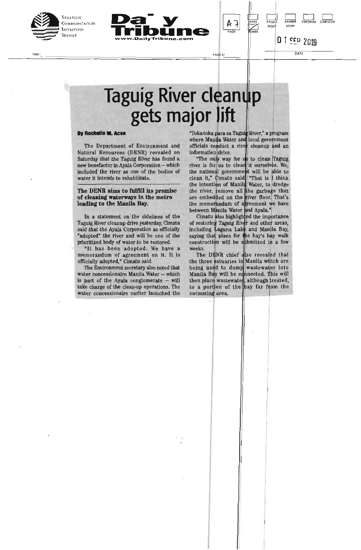





THEIR CONTROLLED AND RESERVE THE RESERVE OF THE PAGE IT THE RESERVE OF THE PAGE IT THE RESERVE OF THE PATTLE OF THE PATTLE OF THE PATTLE OF THE PATTLE OF THE PATTLE OF THE PATTLE OF THE PATTLE OF THE PATTLE OF THE PATTLE O

## **Taguig River cleanup gets major lift**

#### **By Rochelle M. Acse**

The Department of Environment and Natural Resources (DENR) revealed on Saturday that the Taguig River has found a new benefactor in Ayala Corporation — which included the river as one of the bodies of water it intends to rehabilitate.

#### The DENR aims to fulfill its promise of cleaning waterways in the metro leading to the Manila Bay.

In a statement on the sidelines of the Taguig River cleanup drive yesterday, Cimatu said that the Ayala Corporation as officially "adopted" the river and will be one of the prioritized body of water to be restored.

"It has been adopted. We have a memorandum of agreement on it. It is officially adopted," Cimatu said.

The Environment secretary also noted that water concessionaire Manila Water — which is part of the Ayala conglomerate — will take charge of the clean-up operations. The water concessionaire earlier launched the

"Toka-toka para sa Taguig River," a program where Manila Water and local government officials conduct a river cleanup and an information drive.

PAĞI

**PPF NWE** 

"The only way for us to clean Taguig river is for us to clean it ourselves. We, the national government will be able to clean it," Cimatu said "That is I think the intention of Manila Water, to dredge the river, remove all the garbage that are embedded on the river floor. That's the memorandum of agreement we have between Manila Water and Ayala."

Cimatu also highlighted the importance of restoring Taguig River and other areas, including Laguna Lake and Manila Bay, saying that plans for the bay's bay walk construction will be sibmitted in a few weeks.

The DENR chief also revealed that the three estuaries in Manila which are being used to dump wastewater into Manila Bay will be connected. This will then place wastewater, although treated, to a portion of the bay far from the swimming area.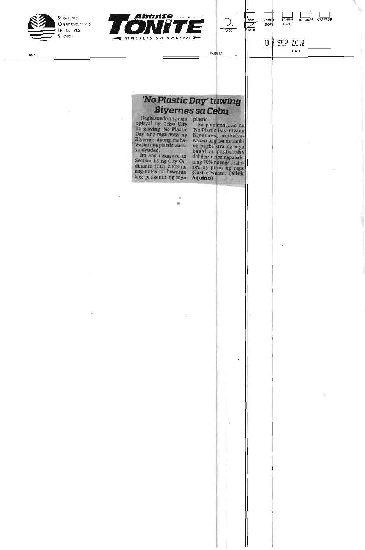





**O 1** <u>SEP</u> 2019 **PAGE 1/ DATE** 

**STORY** 

**BANNER** EDITORIAL CARTOON

#### *'No Plastic Day' tuwing Biyernes sa Cebu*

Nagkasundo ang mga<br>opisyal ng Cebu City<br>na gawing 'No Plastic<br>Day' ang mga araw ng<br>Biyernes upang maba-<br>wasan ang plastic waste<br>sa siyudad.

sa siyuaad.<br>Ito ang nakasaad sa<br>Section 15 ng City Ordinance (CO) 2343 na<br>nag-uutos na bawasan<br>ang paggamit ng mga

×

opisyal ng Cebu City Sa pamama<sub>oira</sub>n ng na gawing 'No Plastic 'No Plastic Day' tuwing Day' ang mga araw ng Biyernes, mababaiyernes upang maba-<br>asan ang plastic waste ing pagbabara ng mga<br>isiyudad. kanal at pagbabaha Ito ang nakasaad sa dahil na tin sa napabali- Section 15 ng City Or- tang 70% na mga draindinanee (CO) 2343 na age ay puno ng mga nag-uutos na bawasan plastic waste. (Vick

 $\mathfrak{m}\mathfrak{t}\mathfrak{x}$  :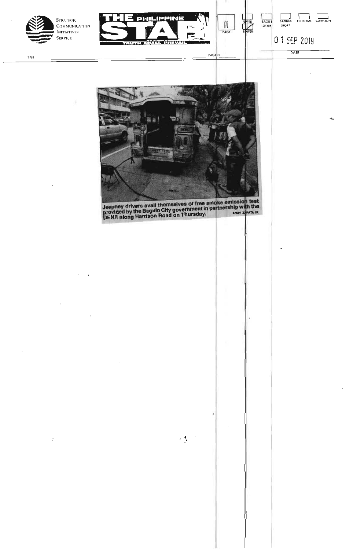

 $\ddot{\cdot}$ 

PHILIPPINE  $\frac{1}{\frac{PAGE}{PAGE}}$ WER  $\overline{\mathbf{u}}$ THUTH SHALL PHEVAIL

PAGE 1/

BANNER EDITORIAL CARIOON **NGE** STORY 0 1 SEP 2019 DATE



Leepney drivers avail themselves of free smoke emission with the provided by the Baguio City government in partnership with the DENR along Harrison Road on Thursday. ANDY ZAPATA JR.

 $\frac{1}{2}$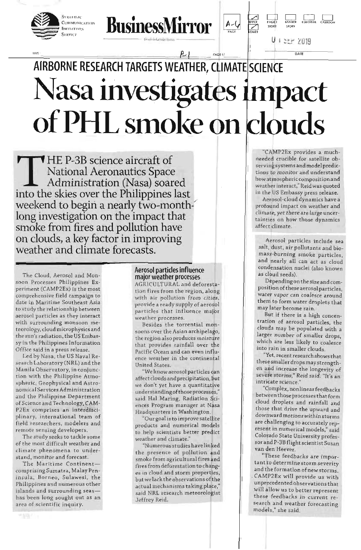

TITLE:





PAGE

 $A - 6$ 

AGE I/

## $F-$ **AIRBORNE RESEARCH TARGETS WEATHER, CLIMATE SCIENCE Nasa investigates impact of PHL smoke on clouds**

THE P-3B science aircraft of<br>National Aeronautics Space<br>Administration (Nasa) soar<br>into the skies over the Philippines National Aeronautics Space Administration (Nasa) soared into the skies over the Philippines last weekend to begin a nearly two-monthlong investigation on the impact that smoke from fires and pollution have on clouds, a key factor in improving weather and climate forecasts.

The Cloud, Aerosol and Monsoon Processes Philippines Experiment (CAMP2Ex) is the most comprehensive field campaign to date in Maritime Southeast Asia to study the relationship between aerosol particles as they interact with surrounding monsoon meteorology, cloud microphysics and the sun's radiation, the US Embassy in the Philippines Information Office said in a press release.

Led by Nasa, the US Naval Research Laboratory (NAL) and the Manila Observatory, in conjunction with the Philippine Atmospheric, Geophysical and Astronomical Services Administration and the Philippine Department of Science and Technology, CAM-P2Ex comprises an interdisciplinary, international team of field researchers, modelers and remote sensing developers.

The study seeks to tackle some of the most difficult weather and climate phenomena to understand, monitor and forecast.

The Maritime Continent comprising Sumatra, Malay Peninsula, Borneo, Sulawesi, the Philippines and numerous other islands and surrounding seas has been long sought out as an area of scientific inquiry.

#### Aerosol particles influence major weather processes

AGRICULTURAL and deforestation fires from the region, along with air pollution from cities, provide a ready supply of aerosol particles that influence major weather processes.

Besides the torrential monsoons over the Asian archipelago, the region also produces moisture that provides rainfall over the Pacific Ocean and can even influence weather in the continental United States.

"We know aerosol particles can affect clouds andprecipitation, but we don't yet have a quantitative understanding of those processes," said Hal Maring, Radiation Sciences Program manager at Nasa Headquarters in Washington.

"Our goal is to improve satellite products and numerical models to help scientists better predict weather and climate."

"Numerous studies have linked the presence of pollution and smoke from agricultural fires and fires from deforestation to changes in cloud and storm properties, but we lack the observations of the actual mechanisms taking place," said NRL research meteorologist Jeffrey Reid.

"CAMP2Ex provides a muchneede4 crucible for satellite **ob**serving systems and model predictions to monitor and understand how at mospheric composition and weather interact," Reid was quoted in the US Embassy press release.

Aerosol-cloud dynamics have a profound impact on weather and climate, yet there are large uncertainties on how those dynamics affect climate.

Aerosol particles include sea salt, dust, air pollutants and biomass-burning smoke particles, and nearly all can act as cloud condensation nuclei (also known as cloud seeds).

Depending on the size and composition of these aerosol particles, water vapor can coalesce around them to form water droplets that may later become rain.

But if there is a high concentration of aerosol particles, the clouds may be populated with a larger number of smaller drops, which are less likely to coalesce into rain in smaller clouds.

Yet, recent research shows that these smaller drops may strengthen and increase the longevity of 1 severe storms," Reid said. "It's an intricate science."

"Complex, nonlinear feedbacks between those processes that form cloud droplets and rainfall and those that drive the upward and downward motions within storms are challenging to accurately represent in numerical models," said Colorado State University professor and P-3B flight scientist Susan van den Heever.

"These feedbacks are important to determine storm severity and the formation of new storms. CAMP2Ex will provide us with unprecedented observations that will allow us to better represent these feedbacks in current research and weather forecasting models," she said.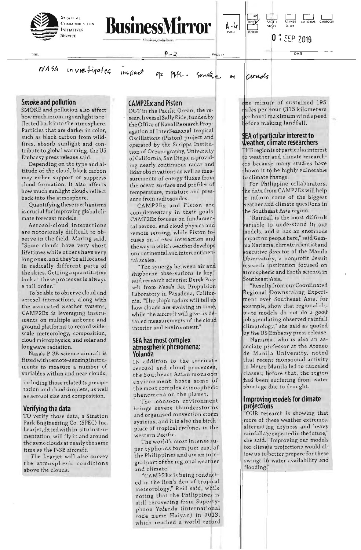





 $0ATF$ 

**DUE** 

inviefigates  $NASA$ 

 $P - 2$ 

impact

Somak.

PAGE 17

A-4

Circide

#### **Smoke and pollution**

SMOKE and pollution also affect how much incoming sunlight is reflected back into the atmosphere. Particles that are darker in color, such as black carbon from wildfires, absorb sunlight and contribute to global warming, the US Embassy press release said.

Depending on the type and altitude of the cloud, black carbon may either support or suppress cloud formation; it also affects how much sunlight clouds reflect back into the atmosphere.

Quantifying these mechanisms is crucial for improving global climate forecast models.

Aerosol-cloud interactions are notoriously difficult to observe in the field, Maring said. "Some clouds have very short lifetimes while others have very long ones, and they're all located in radically different parts of the skies. Getting a quantitative look at these processes is always a tall order.

To be able to observe cloud and aerosol interactions, along with the associated weather systems, CAMP2Ex is leveraging instruments on multiple airborne and ground platforms to record widescale meteorology, composition, cloud microphysics, and solar and longwave radiation.

Nasa's P-3B science aircraft is fitted with remote-sensing instruments to measure a number of variables within and near clouds,

including those related to precipitation and cloud droplets, as well as aerosol size and composition.

#### Verifying the data

TO verify those data, a Stratton Park Engineering Co. (SPEC) Inc. Learjet, fitted with in-situ instrumentation, will fly in and around the same clouds at nearly the same time as the P-3B aircraft.

The Learjet will also survey the atmospheric conditions above the clouds.

#### **CAMP2Ex and Piston**

OUT in the Pacific Ocean, the research vessel Sally Ride, funded by the Office of Naval Research Propagation of InterSeasonal Tropical Oscillations (Piston) project and operated by the Scripps Institution of Oceanography, University of California, San Diego, is providing nearly continuous radar and lidar observations as well as measurements of energy fluxes from the ocean surface and profiles of temperature, moisture and pressure from radiosondes.

CAMP2Ex and Piston are complementary in their goals. CAMP2Ex focuses on fundamental aerosol and cloud physics and remote sensing, while Piston focuses on air-sea interaction and the way in which weather develops on continental and intercontinental scales.

"The synergy between air and shipborne observations is key," said research scientist Derek Posselt from Nasa's Jet Propulsion Laboratory in Pasadena, California. "The ship's radars will tell us how clouds are evolving in time, while the aircraft will give us detailed measurements of the cloud interior and environment.'

#### **SEA has most complex** atmospheric phenomena; Yolanda

IN addition to the intricate aerosol and cloud processes, the Southeast Asian monsoon environment hosts some of the most complex atmospheric phenomena on the planet.

The monsoon environment brings severe thunderstorms and organized convection storm systems, and it is also the birthplace of tropical cyclones in the western Pacific.

The world's most intense super typhoons form just east of the Philippines and are an integral part of the regional weather and climate.

"CAMP2Ex is being conducted in the lion's den of tropical meteorology," Reid said, while noting that the Philippines is still recovering from Supertyphoon Yolanda (international code name Haiyan) in 2013, which reached a world record one minute of sustained 195 miles per hour (315 kilometers per hour) maximum wind speed before making landfall.

#### **SEA of particular interest to** weather, climate researchers

HE region is of particular interest o weather and climate researchrs because many studies have hown it to be highly vulnerable o climate change.

For Philippine collaborators, he data from CAMP2Ex will help o inform some of the biggest veather and climate questions in he Southeast Asia region.

"Rainfall is the most difficult ariable to understand in our models, and it has an enormous impact on people here," said Gemma Narisma, climate scientist and executive director of the Manila Observatory, a nonprofit Jesuit research institution focused on atmospheric and Earth science in Southeast Asia.

"Results from our Coordinated Regional Downscaling Experiment over Southeast Asia, for example, show that regional climate models do not do a good job simulating observed rainfall climatology," she said as quoted by the US Embassy press release.

Narisma, who is also an associate professor at the Ateneo de Manila University, noted that recent monsoonal activity in Metro Manila led to canceled classes; before that, the region had been suffering from water shortage due to drought.

#### Improving models for climate projections

"OUR research is showing that more of these weather extremes, alternating dryness and heavy rainfall are expected in the future, she said. "Improving our models for climate projections would allow us to better prepare for these swings in water availability and flooding."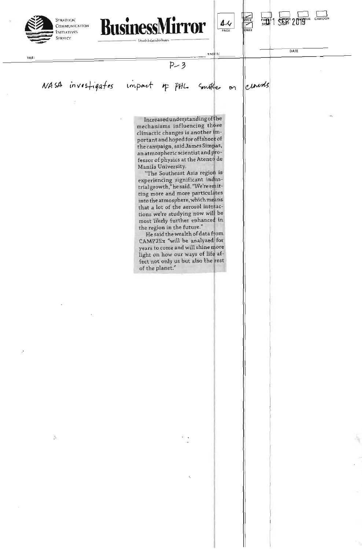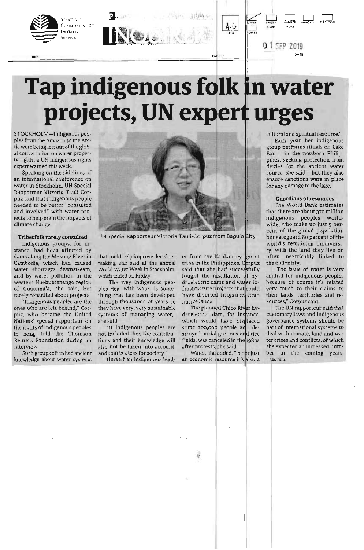

# **Tap indigenous folk in water** projects, UN expert urges

STOCKHOLM—Indigenous peoples from the Amazon to the Arctic were being left out of the global conversation on water property rights, a UN indigenous rights expert warned this week

Speaking on the sidelines of an international conference on water in Stockholm, UN Special Rapporteur Victoria Tauli-Corpuz said that indigenous people needed to be better "consulted and involved" with water projects to help stem the impacts of climate change.

#### Tribesfolk rarely consulted

Indigenous groups, for instance, had been affected by dams along the Mekong River in Cambodia, which had caused . water shortages downstream, and by water pollution in the western Huehuetenango region of Guatemala, she said, but rarely consulted about projects.

"Indigenous peoples are the ones who are left behind," Corpuz, who became the United Nations' special rapporteur on the rights of indigenous peoples in 2014, told the Thomson Reuters Foundation during an interview.

Such groups often had ancient knowledge about water systems



UN Special Rapporteur Victoria Tauli-Corpuz from Baguio City

that could help improve decisionmaking, she said at the annual World Water Week in Stockholm, which ended on Friday.

"The way indigenous peoples deal with water is something that has been developed through thousands of years so they have very, very sustainable systems of managing water," she said.

"If indigenous peoples are not included then the contributions and their knowledge will also not be taken into account, and that is a loss for society."

Herself an indigenous lead-

er from the Kankanaey gorot tribe in the Philippines, Corpuz said that she had successfully fought the instillation of hydroelectric dams and water infrastructure projects that could have diverted irrigation from native lands.

The planned Chico River hydroelectric dam, for instance, which would have displaced some 200,000 people and destroyed burial grounds and rice fields, was canceled in the 1980s after protests, she said.

Water, she added, "is not just an economic resource it's also a

cultural and spiritual resource."

Each year her indigenous group performs rituals on Lake Banao in the northern Philippines, seeking protection from deities for the ancient water source, she said—but they also ensure sanctions were in place for any damage to the lake.

#### Guardians of resources

The World Bank estimates that there are about 370 million ndigenous peoples world-<br>wide, who make up just 5 percent of the global population wide, who make up just 5 perbut safeguard 8o percent of the world's remaining biodiversity, with the land they live on often inextricably linked to their identity.

'The issue of water is very central for indigenous peoples because of course it's related very much to their claims to their lands, territories and resources," Corpuz said.

The UN rapporteur said that customary laws and indigenous governance systems should be part of international systems to deal with climate, land and water crises and conflicts, of which she expected an increased number in the coming years. -REUTERS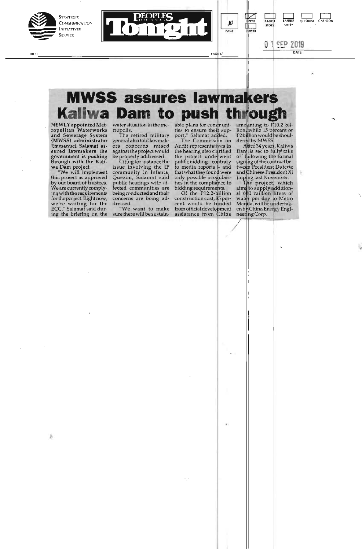

nne:





### **MWSS assures lawmakers Kaliwa Dam to push through**

**NEWLY appointed Metropolitan Waterworks and Sewerage System (MWSS) administrator Emmanuel Salamat assured lawmakers the government** is **pushing through with the Kaliwa Dam project.** 

"We will implement this project as approved by our board of trustees. We are currently complying with the requirements for theproject. Right now, we're waiting for the ECC," Salamat said during the briefing on the

water situation in the me-

tropolis. The retired-military general also told lawmak-<br>ers concerns raised concerns raised against the project would be properly addressed.

Citing for instance the issue involving the IF community in Infanta, Quezon, Salamat said public hearings with affected communities are being conducted and their concerns are being ad-

dressed. "We want to make sure there will be sustainable plans for communities to ensure their support," Salamat added.

**PAGE** 

**PAGE I/** 

**The Commission on** <br>Audit representatives in the hearing also clarified the project underwent public bidding–contrary<br>to media reports **–** and that what they found were only possible irregularities in the compliahce to

bidding requirements. Of the P12.2-billion construction cost, 85 per-cent would be landed from official development assistance from China

amounting to P<sub>10.2</sub> billion, while 15 percent or **P2bIJion would be shoulderaj by MWSS** 

A4t**er 34** year **Kaliwa Dan** is **set** to • **take**  off f **pllowing** the formal signing of the contract between President Duterte and **C**hinese President Xi Jinping last November.<br>The project, which

aims to supply additional 600 million liters of water per day to Metro Manila, will be undertaken China Energy Engineering Corp.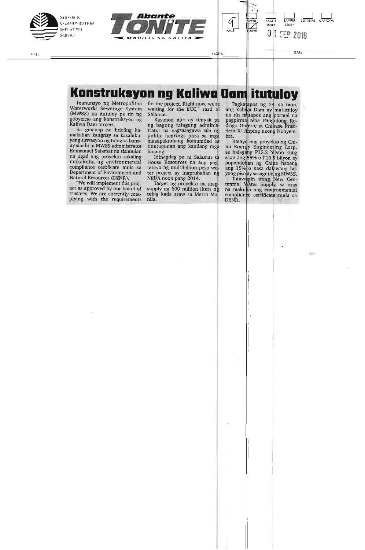





#### Konstruksyon ng Kaliwa Dam **itutuloy**

Inanunsyo ng Metropolitan Waterworks Sewerage System (MWSS) na itutuloy pa rin ng gobyerno ang konstruksyon ng Kaliwa Dam project.

Sa ginanap na briefing kamakailan kaugnay sa kasalukuyang sitwasyon ng tubig sa bansa ay sinabi ni MWSS administrator Emmanuel Salamat na sisimulan na agad ang proyekto sakaling makakuha ng environmental compliance certificate mula sa Department of Environment and Natural Resources (DENA).

"We will implement this project as approved by our board of trustees. We are currently complying with the requirements

for the project. Right now, we're waiting for the ECC," saad rii Salamat.

Kasunod nito ay tiniyak pa ng bagong talagang administrator na nagsasagawa sila n public hearings para sa mga maaapektuhang komunidad at tinutugunan ang kanilang mga hinaing.

Idinagdag pa ni Salamat s House Resources na ang pa tatayo ng multibillion peso w ter project ay inaprubahan n NEDA noon pang 2014.

Target ng proyekto na mag supply ng 600 million liters n tubig kada araw sa Metro Manila.

Pagkatapos ng 34 na taon, ang Kaliwa Dam ay matutuloy na rin matapos ang pormal na pagpirma nina Pangulong Rodrigo Du erte at Chinese President Xi Jinping noong Nobyembre.

PAGE I/ DATE

Itatayo ang proyekto ng China Energy Engineering Corp. sa halagang P12.2 bilyon kung saan ang 5% o P10.\$ btlyon ay popondohan ng China habang ang 15% o nasa dalawang bilyong piso ay sasagutin ng MWSS.<br>Tatawagin itong New Cen-

tennial Water Supply, sa oras na makuha ang environmental compliance certificate mula sa<br>DENR.

**SEP** 

нцε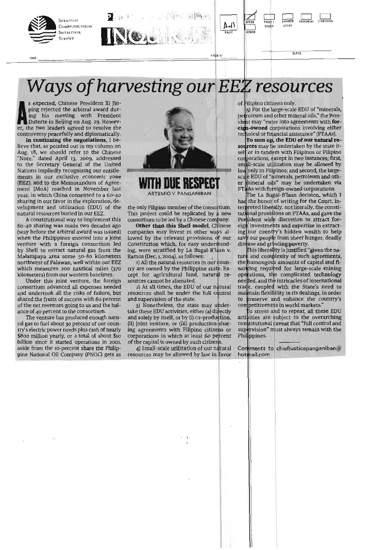

*Ways of harvesting our EE resources* 

**A** ling his meeting with President Duterte in Beijing on Aug. 29. Howevs expected, Chinese President Xi Jinping rejected the arbitral award during his meeting with President er, the two leaders agreed to resolve the controversy peacefully and diplomatically.

**In continuing the negotiations,** I believe that, as pointed out in my column on Aug. 18, we should refer to the Chinese "Note," dated April 13, zoog, addressed to the Secretary General of the United Nations impliedly recognizing our entitlements in our exclusive economic zone (EEZ), and to the Memorandum of Agreement (MoA) reached in November last year, in which China consented to a 60-40 sharing in our favor in the exploration, development and utilization (EDU) of the natural resources buried in our EEZ.

A constitutional way to implement this 60-40 sharing was made two decades ago (way before the arbitral award was issued) when the Philippines entered into a joint venture with a foreign consortium led by Shell to extract natural gas from the Malampaya area some 50-8o kilometers northwest of Palawan, well within our EEZ which measures 200 nautical miles (370 kilometers) from our western baselines.

Under this joint venture, the foreign consortium advanced all expenses needed and undertook all the risks of failure, but shared the fruits of success with 6o percent of the net revenues going to us and the balance of 40 percent to the consortium.

The venture has produced enough natural gas to fuel about 30 percent of our country's electric power needs plus cash of nearly \$800 million yearly, or a total of about \$10 billion since it started operations in 2001, aside from the 10-percent share the Philippine National Oil Company (PNOC) gets as



**WITH DUE RESPECT**  ARTEMIO V. PANGANIBAN

the only Filipino member of the consortium. This project could be replicated by a new consortium to be led by a Chinese company.

**Other than this Shell model,** Chinese companies may invest in other ways allowed by the relevant provisions of our Constitution which, for easy understanding, were stratified by La Bugal-B'laan v. Ramos (Dec. 1, 2004), as follows: ,

1) All the natural resources in our country are owned by the Philippine state. Except for agricultural land, natural resources cannot be alienated.

2) At all times, the EDU of our natural resources shall be under the full control and supervision of the state.

3) Nonetheless, the state may undertake these EDU activities, either (a) directly and solely by itself, or by (i) co-production, (ii) joint venture, or (iii) production-sharing agreements with Filipino citizens or corporations in which at least 6o percent of the capital is owned by such citizens.

Small-scale utilization of our natural resources may be allowed by law in favor of Filipino citizens only.

5) For the large-scale EDU of "minerals, petroleum and other mineral oils," the President may "enter into agreements with for-**-owned** dorporations involving either technical or financial assistance" (FTAAs).

To sum up, the EDU of our natural resources may be undertaken by the state itself or in tandem with Filipinos or Filipino corporations, except in two instances; first,<br>small-scale utilization may be allowed by small-scale utilization may be allowed by<br>law only to Filipinos; and second, the largeaw only to Filipinos; and second, the large-<br>|scale EDU of "minerals, petroleum and oth-<br>|r||mineral oi||s"||may |be ||undertaken via  $\tau$   $\Delta$ As with foreign-owned corporations.

The La Bugal-B'laan decision, which I the honor of writing for the Court, interpreted liberally, not literally, the constitutional provisions on FTAAs, and gave the President wide discretion to attract for- $\epsilon$ igh investments and expertise in extracting our country's hidden wealth to help<br>save our people from sheer hunger, deadly our people from sheer hunger, deadly dis ease and grinding poverty.

his liberaljity is justified "given the nature and complexity of such agreements, the humongous amounts of capital and financing required for large-scale mining operations, the complicated technology nee ded, and the intricacies of international trade, coupled with the State's need to maintain flexibility in its dealings, in order to preserve and enhance the country's competitiveness in world markets.

o stress and to repeat, all these EDU activities are subject to the overarching constitutional caveat that "full control and supervision" must always remain with the Phi**li**ppines.

Comments to chiefjusticepanganiban@ hot <mark>mail.com</mark>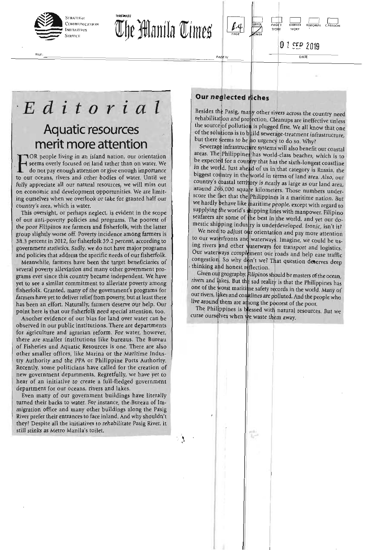

шιε

The Manila Times



0 1 SEP 2019 DATE

 $5700$ 

 $F$ **DITORIAL** 

## Editorial **Aquatic resources** merit more attention

TOR people living in an island nation, our orientation seems overly focused on land rather than on water. We do not pay enough attention or give enough importance to our oceans, rivers and other bodies of water. Until we fully appreciate all our natural resources, we will miss out on economic and development opportunities. We are limiting ourselves when we overlook or take for granted half our country's area, which is water.

This oversight, or perhaps neglect, is evident in the scope of our anti-poverty policies and programs. The poorest of the poor Filipinos are farmers and fisherfolk, with the latter group slightly worse off. Poverty incidence among farmers is 38.3 percent in 2012, for fisherfolk 39.2 percent, according to government statistics. Sadly, we do not have major programs and policies that address the specific needs of our fisherfolk.

Meanwhile, farmers have been the target beneficiaries of several poverty alleviation and many other government programs ever since this country became independent. We have yet to see a similar commitment to alleviate poverty among fisherfolk. Granted, many of the government's programs for farmers have yet to deliver relief from poverty, but at least there has been an effort. Naturally, farmers deserve our help. Our point here is that our fisherfolk need special attention, too.

Another evidence of our bias for land over water can be observed in our public institutions. There are departments for agriculture and agrarian reform. For water, however, there are smaller institutions like bureaus. The Bureau of Fisheries and Aquatic Resources is one. There are also other smaller offices, like Marina or the Maritime Industry Authority and the PPA or Philippine Ports Authority. Recently, some politicians have called for the creation of new government departments. Regretfully, we have yet to hear of an initiative to create a full-fledged government department for our oceans, rivers and lakes.

Even many of our government buildings have literally turned their backs to water. For instance, the Bureau of Immigration office and many other buildings along the Pasig River prefer their entrances to face inland. And why shouldn't they? Despite all the initiatives to rehabilitate Pasig River, it still stinks as Metro Manila's toilet.

#### Our neglected riches

PAGE 1/

Besides the Pasig, many other rivers across the country need rehabilitation and projection. Cleanups are ineffective unless the source of pollution is plugged first. We all know that one of the solutions is to build sewerage-treatment infrastructure, but there seems to be no urgency to do so. Why?

Sewerage infrastructure systems will also benefit our coastal<br>areas. The Philippines has world-class beaches, which is to be expected for a country that has the sixth-longest coastline<br>in the world. Just ahead of us in that category is Russia, the biggest country in the world in terms of land area. Also, our country's coastal territory is nearly as large as our land area, around 266,000 square kilometers. Those numbers underscore the fact that the Philippines is a maritime nation. But we hardly behave like maritime people, except with regard to supplying the world's shipping lines with manpower. Filipino seafarers are some of the best in the world, and yet our domestic shipping industry is underdeveloped. Ironic, isn't it?

We need to adjust our orientation and pay more attention to our waterfronts and waterways. Imagine, we could be using rivers and other waterways for transport and logistics.<br>Our waterways complement our roads and help ease traffic congestion. So why don't we? That question deserves deep thinking and honest reflection.

Given our geography, Filipinos should be masters of the ocean, rivers and lakes. But the sad reality is that the Philippines has one of the worst maritime safety records in the world. Many of our rivers, lakes and coastlines are polluted. And the people who live around them are among the poorest of the poor.

The Philippines is blessed with natural resources. But we curse ourselves when we waste them away.

뻠

ा